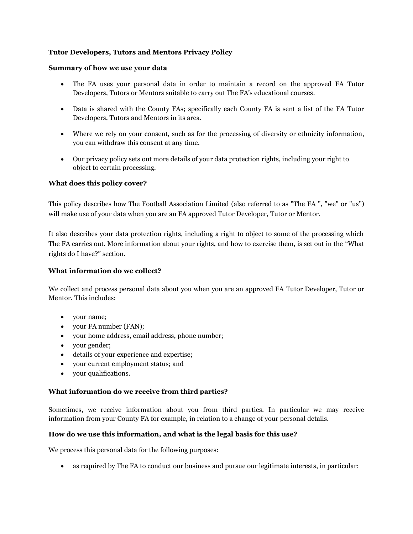# **Tutor Developers, Tutors and Mentors Privacy Policy**

#### **Summary of how we use your data**

- The FA uses your personal data in order to maintain a record on the approved FA Tutor Developers, Tutors or Mentors suitable to carry out The FA's educational courses.
- Data is shared with the County FAs; specifically each County FA is sent a list of the FA Tutor Developers, Tutors and Mentors in its area.
- Where we rely on your consent, such as for the processing of diversity or ethnicity information, you can withdraw this consent at any time.
- Our privacy policy sets out more details of your data protection rights, including your right to object to certain processing.

### **What does this policy cover?**

This policy describes how The Football Association Limited (also referred to as "The FA ", "we" or "us") will make use of your data when you are an FA approved Tutor Developer, Tutor or Mentor.

It also describes your data protection rights, including a right to object to some of the processing which The FA carries out. More information about your rights, and how to exercise them, is set out in the "What rights do I have?" section.

## **What information do we collect?**

We collect and process personal data about you when you are an approved FA Tutor Developer, Tutor or Mentor. This includes:

- vour name:
- your FA number (FAN);
- your home address, email address, phone number;
- your gender;
- details of your experience and expertise;
- your current employment status; and
- your qualifications.

### **What information do we receive from third parties?**

Sometimes, we receive information about you from third parties. In particular we may receive information from your County FA for example, in relation to a change of your personal details.

### **How do we use this information, and what is the legal basis for this use?**

We process this personal data for the following purposes:

as required by The FA to conduct our business and pursue our legitimate interests, in particular: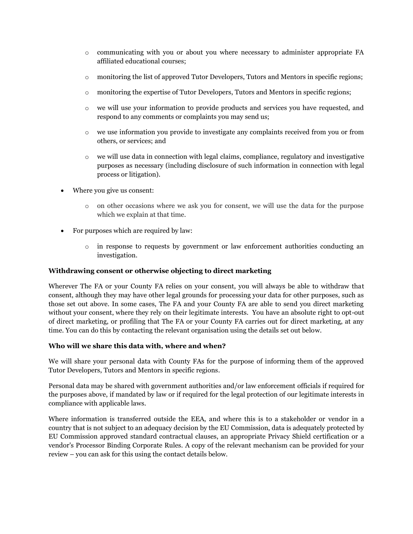- o communicating with you or about you where necessary to administer appropriate FA affiliated educational courses;
- $\circ$  monitoring the list of approved Tutor Developers, Tutors and Mentors in specific regions;
- o monitoring the expertise of Tutor Developers, Tutors and Mentors in specific regions;
- o we will use your information to provide products and services you have requested, and respond to any comments or complaints you may send us;
- o we use information you provide to investigate any complaints received from you or from others, or services; and
- $\circ$  we will use data in connection with legal claims, compliance, regulatory and investigative purposes as necessary (including disclosure of such information in connection with legal process or litigation).
- Where you give us consent:
	- o on other occasions where we ask you for consent, we will use the data for the purpose which we explain at that time.
- For purposes which are required by law:
	- o in response to requests by government or law enforcement authorities conducting an investigation.

## **Withdrawing consent or otherwise objecting to direct marketing**

Wherever The FA or your County FA relies on your consent, you will always be able to withdraw that consent, although they may have other legal grounds for processing your data for other purposes, such as those set out above. In some cases, The FA and your County FA are able to send you direct marketing without your consent, where they rely on their legitimate interests. You have an absolute right to opt-out of direct marketing, or profiling that The FA or your County FA carries out for direct marketing, at any time. You can do this by contacting the relevant organisation using the details set out below.

### **Who will we share this data with, where and when?**

We will share your personal data with County FAs for the purpose of informing them of the approved Tutor Developers, Tutors and Mentors in specific regions.

Personal data may be shared with government authorities and/or law enforcement officials if required for the purposes above, if mandated by law or if required for the legal protection of our legitimate interests in compliance with applicable laws.

Where information is transferred outside the EEA, and where this is to a stakeholder or vendor in a country that is not subject to an adequacy decision by the EU Commission, data is adequately protected by EU Commission approved standard contractual clauses, an appropriate Privacy Shield certification or a vendor's Processor Binding Corporate Rules. A copy of the relevant mechanism can be provided for your review – you can ask for this using the contact details below.